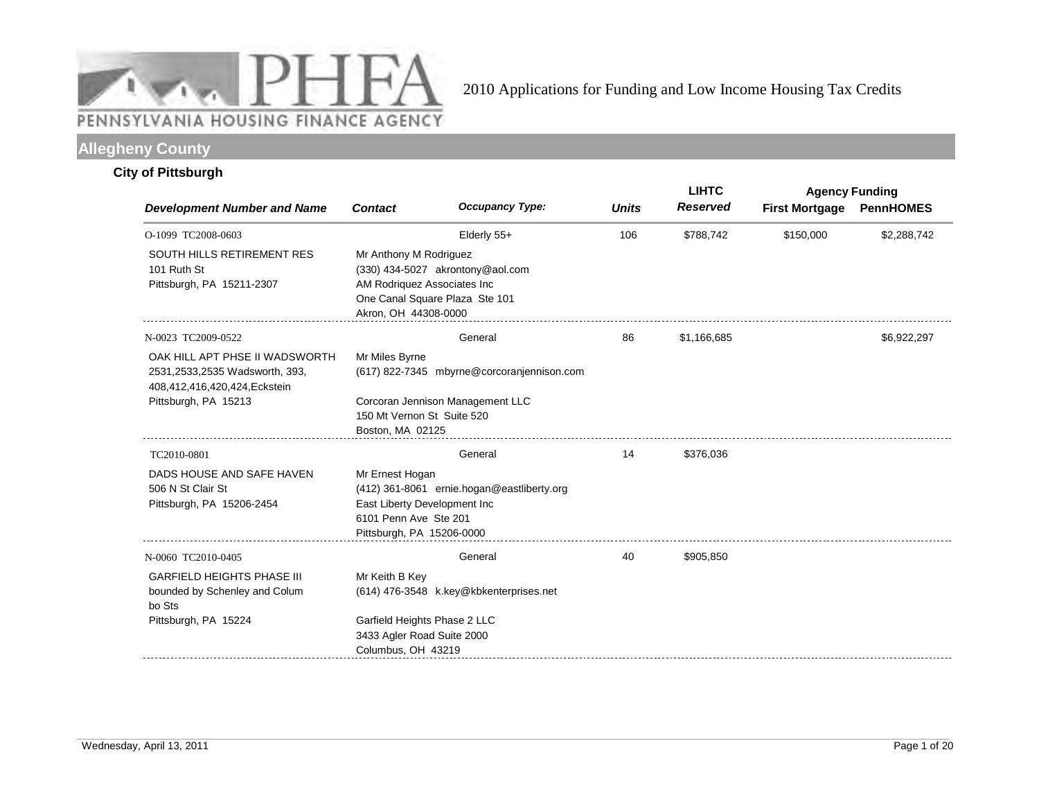

# **Allegheny County**

## **City of Pittsburgh**

|                                                                                                  |                                                                                                       |                                                                    |              | <b>LIHTC</b>    | <b>Agency Funding</b> |                  |
|--------------------------------------------------------------------------------------------------|-------------------------------------------------------------------------------------------------------|--------------------------------------------------------------------|--------------|-----------------|-----------------------|------------------|
| <b>Development Number and Name</b>                                                               | <b>Contact</b>                                                                                        | <b>Occupancy Type:</b>                                             | <b>Units</b> | <b>Reserved</b> | <b>First Mortgage</b> | <b>PennHOMES</b> |
| O-1099 TC2008-0603                                                                               |                                                                                                       | Elderly 55+                                                        | 106          | \$788,742       | \$150,000             | \$2,288,742      |
| <b>SOUTH HILLS RETIREMENT RES</b><br>101 Ruth St<br>Pittsburgh, PA 15211-2307                    | Mr Anthony M Rodriguez<br>AM Rodriquez Associates Inc<br>Akron, OH 44308-0000                         | (330) 434-5027 akrontony@aol.com<br>One Canal Square Plaza Ste 101 |              |                 |                       |                  |
| N-0023 TC2009-0522                                                                               |                                                                                                       | General                                                            | 86           | \$1,166,685     |                       | \$6,922,297      |
| OAK HILL APT PHSE II WADSWORTH<br>2531,2533,2535 Wadsworth, 393,<br>408,412,416,420,424,Eckstein | Mr Miles Byrne                                                                                        | (617) 822-7345 mbyrne@corcoranjennison.com                         |              |                 |                       |                  |
| Pittsburgh, PA 15213                                                                             | 150 Mt Vernon St Suite 520<br>Boston, MA 02125                                                        | Corcoran Jennison Management LLC                                   |              |                 |                       |                  |
| TC2010-0801                                                                                      |                                                                                                       | General                                                            | 14           | \$376,036       |                       |                  |
| DADS HOUSE AND SAFE HAVEN<br>506 N St Clair St<br>Pittsburgh, PA 15206-2454                      | Mr Ernest Hogan<br>East Liberty Development Inc<br>6101 Penn Ave Ste 201<br>Pittsburgh, PA 15206-0000 | (412) 361-8061 ernie.hogan@eastliberty.org                         |              |                 |                       |                  |
| N-0060 TC2010-0405                                                                               |                                                                                                       | General                                                            | 40           | \$905,850       |                       |                  |
| <b>GARFIELD HEIGHTS PHASE III</b><br>bounded by Schenley and Colum<br>bo Sts                     | Mr Keith B Key                                                                                        | (614) 476-3548 k.key@kbkenterprises.net                            |              |                 |                       |                  |
| Pittsburgh, PA 15224                                                                             | Garfield Heights Phase 2 LLC<br>3433 Agler Road Suite 2000<br>Columbus, OH 43219                      |                                                                    |              |                 |                       |                  |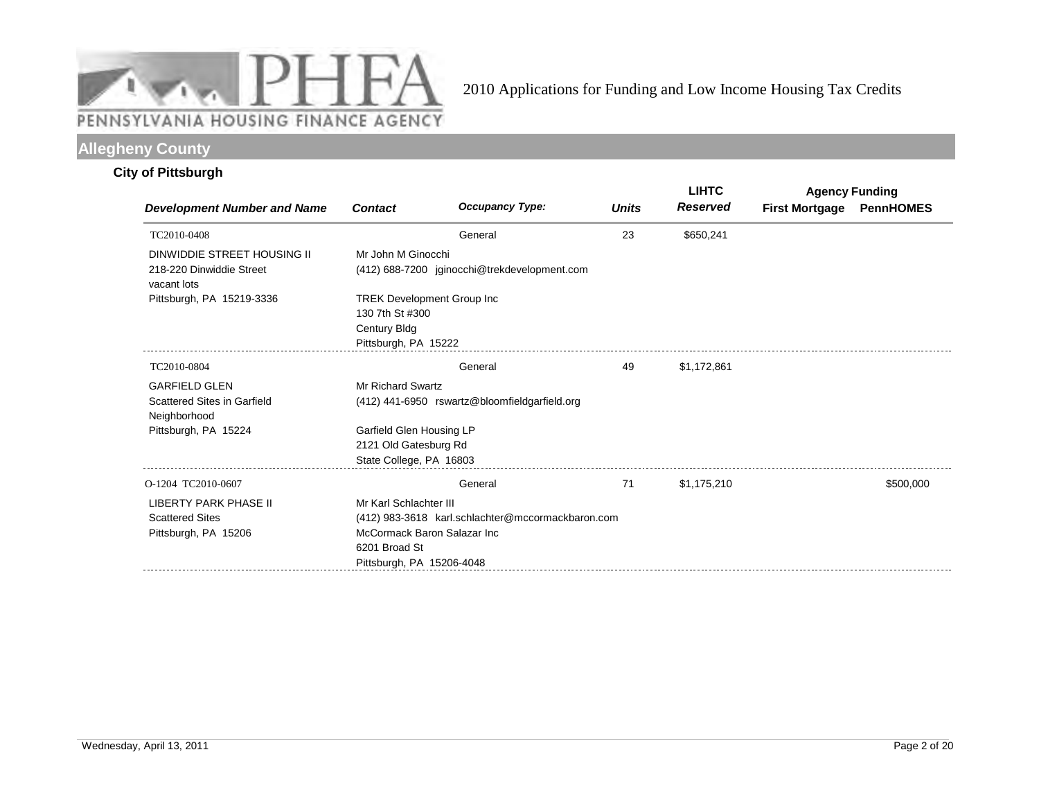

# **Allegheny County**

# **City of Pittsburgh**

|                                         |                                   |                                                   |              | <b>LIHTC</b>    | <b>Agency Funding</b> |                  |
|-----------------------------------------|-----------------------------------|---------------------------------------------------|--------------|-----------------|-----------------------|------------------|
| <b>Development Number and Name</b>      | <b>Contact</b>                    | <b>Occupancy Type:</b>                            | <b>Units</b> | <b>Reserved</b> | <b>First Mortgage</b> | <b>PennHOMES</b> |
| TC2010-0408                             |                                   | General                                           | 23           | \$650,241       |                       |                  |
| DINWIDDIE STREET HOUSING II             | Mr John M Ginocchi                |                                                   |              |                 |                       |                  |
| 218-220 Dinwiddie Street<br>vacant lots |                                   | (412) 688-7200 jginocchi@trekdevelopment.com      |              |                 |                       |                  |
| Pittsburgh, PA 15219-3336               | <b>TREK Development Group Inc</b> |                                                   |              |                 |                       |                  |
|                                         | 130 7th St #300                   |                                                   |              |                 |                       |                  |
|                                         | <b>Century Bldg</b>               |                                                   |              |                 |                       |                  |
|                                         | Pittsburgh, PA 15222              |                                                   |              |                 |                       |                  |
| TC2010-0804                             |                                   | General                                           | 49           | \$1,172,861     |                       |                  |
| <b>GARFIELD GLEN</b>                    | <b>Mr Richard Swartz</b>          |                                                   |              |                 |                       |                  |
| Scattered Sites in Garfield             |                                   | (412) 441-6950 rswartz@bloomfieldgarfield.org     |              |                 |                       |                  |
| Neighborhood                            |                                   |                                                   |              |                 |                       |                  |
| Pittsburgh, PA 15224                    | Garfield Glen Housing LP          |                                                   |              |                 |                       |                  |
|                                         | 2121 Old Gatesburg Rd             |                                                   |              |                 |                       |                  |
|                                         | State College, PA 16803           |                                                   |              |                 |                       |                  |
| O-1204 TC2010-0607                      |                                   | General                                           | 71           | \$1,175,210     |                       | \$500,000        |
| <b>LIBERTY PARK PHASE II</b>            | Mr Karl Schlachter III            |                                                   |              |                 |                       |                  |
| <b>Scattered Sites</b>                  |                                   | (412) 983-3618 karl.schlachter@mccormackbaron.com |              |                 |                       |                  |
| Pittsburgh, PA 15206                    | McCormack Baron Salazar Inc.      |                                                   |              |                 |                       |                  |
|                                         | 6201 Broad St                     |                                                   |              |                 |                       |                  |
|                                         | Pittsburgh, PA 15206-4048         |                                                   |              |                 |                       |                  |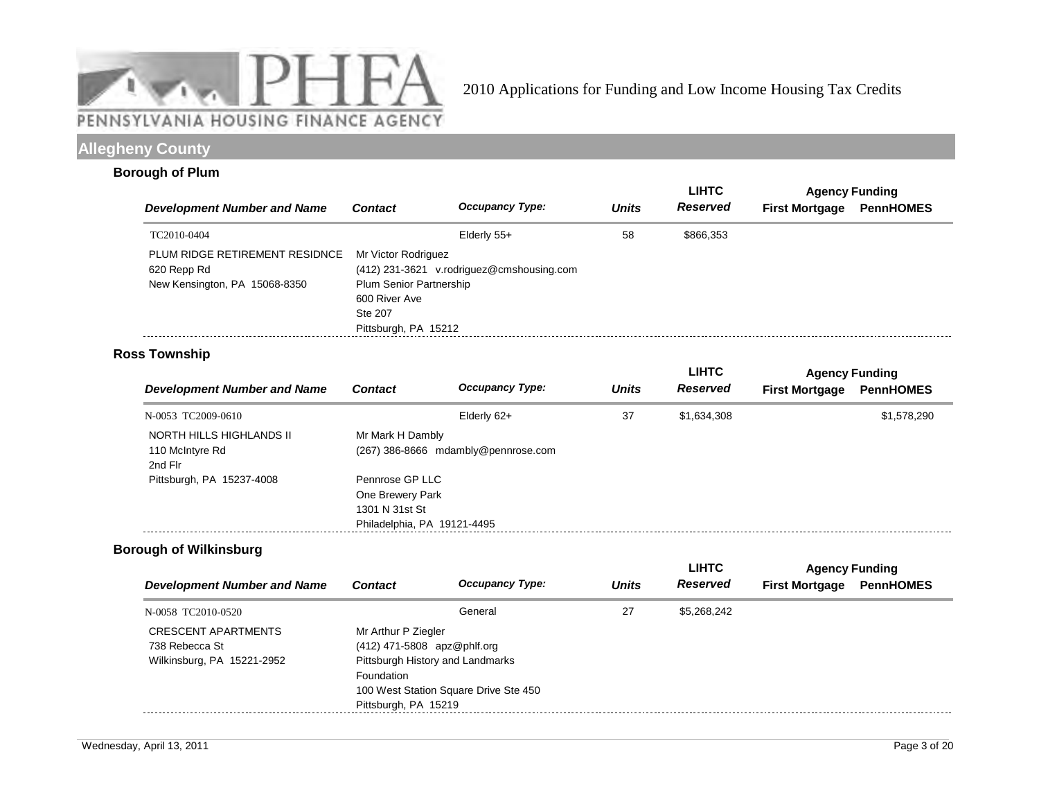

# **Allegheny County**

### **Borough of Plum**

|                                                                                |                                                                                                           |                                           |              | <b>LIHTC</b>    | <b>Agency Funding</b> |                  |  |
|--------------------------------------------------------------------------------|-----------------------------------------------------------------------------------------------------------|-------------------------------------------|--------------|-----------------|-----------------------|------------------|--|
| <b>Development Number and Name</b>                                             | <b>Contact</b>                                                                                            | <b>Occupancy Type:</b>                    | <b>Units</b> | <b>Reserved</b> | <b>First Mortgage</b> | <b>PennHOMES</b> |  |
| TC2010-0404                                                                    |                                                                                                           | Elderly 55+                               | 58           | \$866.353       |                       |                  |  |
| PLUM RIDGE RETIREMENT RESIDNCE<br>620 Repp Rd<br>New Kensington, PA 15068-8350 | Mr Victor Rodriguez<br><b>Plum Senior Partnership</b><br>600 River Ave<br>Ste 207<br>Pittsburgh, PA 15212 | (412) 231-3621 v.rodriguez@cmshousing.com |              |                 |                       |                  |  |

# **Ross Township**

| <b>Development Number and Name</b> |                             | <b>Occupancy Type:</b>              |              | <b>LIHTC</b>    | <b>Agency Funding</b> |                  |
|------------------------------------|-----------------------------|-------------------------------------|--------------|-----------------|-----------------------|------------------|
|                                    | <b>Contact</b>              |                                     | <b>Units</b> | <b>Reserved</b> | <b>First Mortgage</b> | <b>PennHOMES</b> |
| N-0053 TC2009-0610                 |                             | Elderly 62+                         | 37           | \$1,634,308     |                       | \$1,578,290      |
| NORTH HILLS HIGHLANDS II           | Mr Mark H Dambly            |                                     |              |                 |                       |                  |
| 110 McIntyre Rd<br>2nd Flr         |                             | (267) 386-8666 mdambly@pennrose.com |              |                 |                       |                  |
| Pittsburgh, PA 15237-4008          | Pennrose GP LLC             |                                     |              |                 |                       |                  |
|                                    | One Brewery Park            |                                     |              |                 |                       |                  |
|                                    | 1301 N 31st St              |                                     |              |                 |                       |                  |
|                                    | Philadelphia, PA 19121-4495 |                                     |              |                 |                       |                  |

## **Borough of Wilkinsburg**

| <b>Development Number and Name</b> |                                       | <b>Occupancy Type:</b>           |              | <b>LIHTC</b> | <b>Agency Funding</b> |                  |
|------------------------------------|---------------------------------------|----------------------------------|--------------|--------------|-----------------------|------------------|
|                                    | <b>Contact</b>                        |                                  | <b>Units</b> | Reserved     | <b>First Mortgage</b> | <b>PennHOMES</b> |
| N-0058 TC2010-0520                 |                                       | General                          | 27           | \$5,268,242  |                       |                  |
| CRESCENT APARTMENTS                | Mr Arthur P Ziegler                   |                                  |              |              |                       |                  |
| 738 Rebecca St                     | (412) 471-5808 apz@phlf.org           |                                  |              |              |                       |                  |
| Wilkinsburg, PA 15221-2952         |                                       | Pittsburgh History and Landmarks |              |              |                       |                  |
|                                    | Foundation                            |                                  |              |              |                       |                  |
|                                    | 100 West Station Square Drive Ste 450 |                                  |              |              |                       |                  |
|                                    | Pittsburgh, PA 15219                  |                                  |              |              |                       |                  |
|                                    |                                       |                                  |              |              |                       |                  |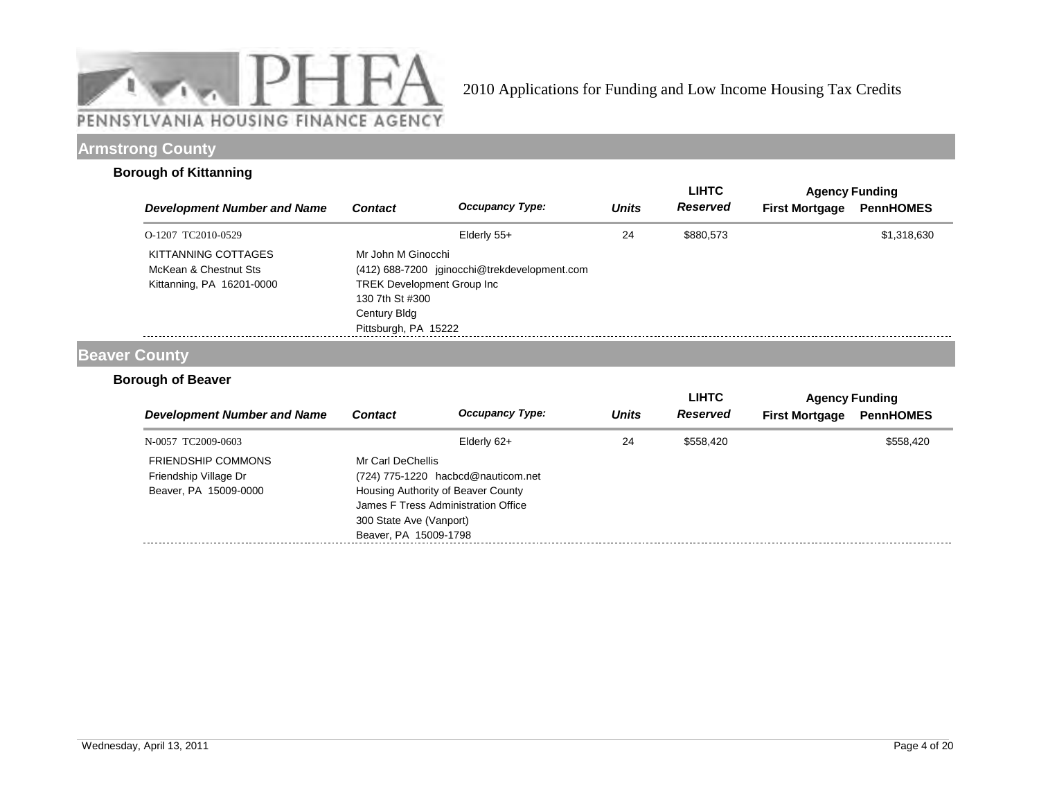

# **Armstrong County**

## **Borough of Kittanning**

|                                                                           |                                                                                             |                                              |              | <b>LIHTC</b> |                       | <b>Agency Funding</b> |
|---------------------------------------------------------------------------|---------------------------------------------------------------------------------------------|----------------------------------------------|--------------|--------------|-----------------------|-----------------------|
| <b>Development Number and Name</b>                                        | <b>Contact</b>                                                                              | <b>Occupancy Type:</b>                       | <b>Units</b> | Reserved     | <b>First Mortgage</b> | <b>PennHOMES</b>      |
| O-1207 TC2010-0529                                                        |                                                                                             | Elderly $55+$                                | 24           | \$880,573    |                       | \$1,318,630           |
| KITTANNING COTTAGES<br>McKean & Chestnut Sts<br>Kittanning, PA 16201-0000 | Mr John M Ginocchi<br><b>TREK Development Group Inc.</b><br>130 7th St #300<br>Century Bldg | (412) 688-7200 jginocchi@trekdevelopment.com |              |              |                       |                       |
|                                                                           | Pittsburgh, PA 15222                                                                        |                                              |              |              |                       |                       |

## **Beaver County**

## **Borough of Beaver**

|                                    |                         |                                     |              | <b>LIHTC</b>    |                       | <b>Agency Funding</b> |  |
|------------------------------------|-------------------------|-------------------------------------|--------------|-----------------|-----------------------|-----------------------|--|
| <b>Development Number and Name</b> | <b>Contact</b>          | <b>Occupancy Type:</b>              | <b>Units</b> | <b>Reserved</b> | <b>First Mortgage</b> | <b>PennHOMES</b>      |  |
| N-0057 TC2009-0603                 |                         | Elderly 62+                         | 24           | \$558.420       |                       | \$558,420             |  |
| <b>FRIENDSHIP COMMONS</b>          | Mr Carl DeChellis       |                                     |              |                 |                       |                       |  |
| Friendship Village Dr              |                         | (724) 775-1220 hacbcd@nauticom.net  |              |                 |                       |                       |  |
| Beaver, PA 15009-0000              |                         | Housing Authority of Beaver County  |              |                 |                       |                       |  |
|                                    |                         | James F Tress Administration Office |              |                 |                       |                       |  |
|                                    | 300 State Ave (Vanport) |                                     |              |                 |                       |                       |  |
|                                    | Beaver, PA 15009-1798   |                                     |              |                 |                       |                       |  |
|                                    |                         |                                     |              |                 |                       |                       |  |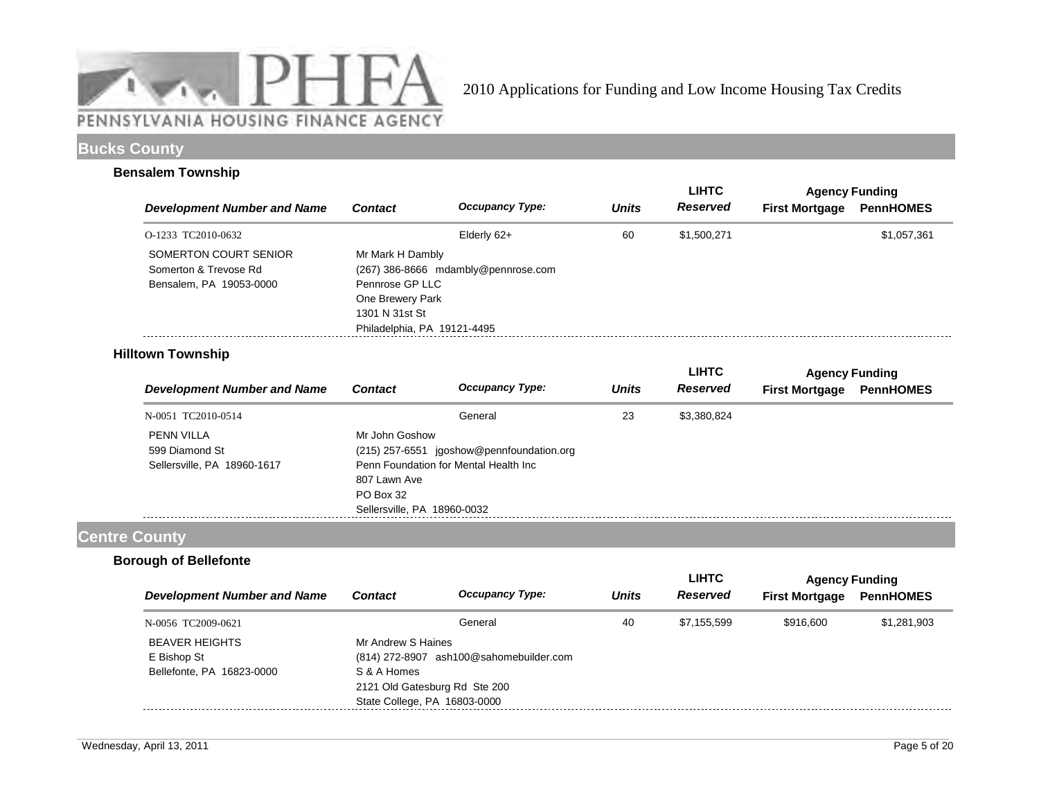

# **Bucks County**

#### **Bensalem Township**

|                                                                           |                                                                                                          |                                     |              | <b>LIHTC</b>    | <b>Agency Funding</b> |                  |
|---------------------------------------------------------------------------|----------------------------------------------------------------------------------------------------------|-------------------------------------|--------------|-----------------|-----------------------|------------------|
| <b>Development Number and Name</b>                                        | <b>Contact</b>                                                                                           | <b>Occupancy Type:</b>              | <b>Units</b> | <b>Reserved</b> | <b>First Mortgage</b> | <b>PennHOMES</b> |
| O-1233 TC2010-0632                                                        |                                                                                                          | Elderly 62+                         | 60           | \$1,500,271     |                       | \$1,057,361      |
| SOMERTON COURT SENIOR<br>Somerton & Trevose Rd<br>Bensalem, PA 19053-0000 | Mr Mark H Dambly<br>Pennrose GP LLC<br>One Brewery Park<br>1301 N 31st St<br>Philadelphia, PA 19121-4495 | (267) 386-8666 mdambly@pennrose.com |              |                 |                       |                  |

## **Hilltown Township**

|                                    |                             |                                           |              | <b>LIHTC</b>    |                       | <b>Agency Funding</b> |
|------------------------------------|-----------------------------|-------------------------------------------|--------------|-----------------|-----------------------|-----------------------|
| <b>Development Number and Name</b> | <b>Contact</b>              | <b>Occupancy Type:</b>                    | <b>Units</b> | <b>Reserved</b> | <b>First Mortgage</b> | <b>PennHOMES</b>      |
| N-0051 TC2010-0514                 |                             | General                                   | 23           | \$3,380,824     |                       |                       |
| PENN VILLA                         | Mr John Goshow              |                                           |              |                 |                       |                       |
| 599 Diamond St                     |                             | (215) 257-6551 jgoshow@pennfoundation.org |              |                 |                       |                       |
| Sellersville, PA 18960-1617        |                             | Penn Foundation for Mental Health Inc     |              |                 |                       |                       |
|                                    | 807 Lawn Ave                |                                           |              |                 |                       |                       |
|                                    | PO Box 32                   |                                           |              |                 |                       |                       |
|                                    | Sellersville, PA 18960-0032 |                                           |              |                 |                       |                       |

# **Centre County**

## **Borough of Bellefonte**

|                               |                        |                                                                                               | <b>LIHTC</b> | <b>Agency Funding</b> |                  |
|-------------------------------|------------------------|-----------------------------------------------------------------------------------------------|--------------|-----------------------|------------------|
| <b>Contact</b>                | <b>Occupancy Type:</b> | <b>Units</b>                                                                                  | Reserved     | <b>First Mortgage</b> | <b>PennHOMES</b> |
|                               | General                | 40                                                                                            | \$7.155.599  | \$916,600             | \$1,281,903      |
|                               |                        |                                                                                               |              |                       |                  |
|                               |                        |                                                                                               |              |                       |                  |
| S & A Homes                   |                        |                                                                                               |              |                       |                  |
| 2121 Old Gatesburg Rd Ste 200 |                        |                                                                                               |              |                       |                  |
|                               |                        |                                                                                               |              |                       |                  |
|                               |                        | Mr Andrew S Haines<br>(814) 272-8907 ash100@sahomebuilder.com<br>State College, PA 16803-0000 |              |                       |                  |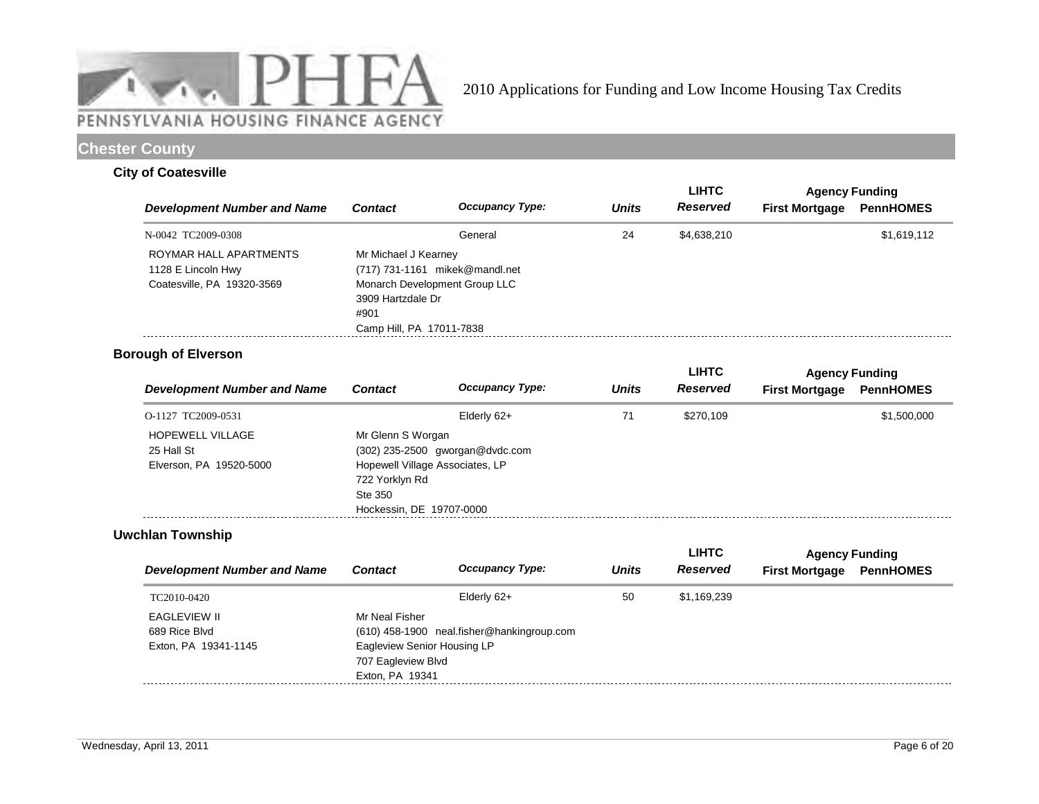

# **Chester County**

### **City of Coatesville**

|                                                                            |                                                                               |                                                                 |              | <b>LIHTC</b> | <b>Agency Funding</b> |                  |
|----------------------------------------------------------------------------|-------------------------------------------------------------------------------|-----------------------------------------------------------------|--------------|--------------|-----------------------|------------------|
| <b>Development Number and Name</b>                                         | <b>Contact</b>                                                                | <b>Occupancy Type:</b>                                          | <b>Units</b> | Reserved     | <b>First Mortgage</b> | <b>PennHOMES</b> |
| N-0042 TC2009-0308                                                         |                                                                               | General                                                         | 24           | \$4,638,210  |                       | \$1,619,112      |
| ROYMAR HALL APARTMENTS<br>1128 E Lincoln Hwy<br>Coatesville, PA 19320-3569 | Mr Michael J Kearney<br>3909 Hartzdale Dr<br>#901<br>Camp Hill, PA 17011-7838 | (717) 731-1161 mikek@mandl.net<br>Monarch Development Group LLC |              |              |                       |                  |

## **Borough of Elverson**

| <b>Development Number and Name</b> |                          |                                 |              | <b>LIHTC</b> | <b>Agency Funding</b> |                  |
|------------------------------------|--------------------------|---------------------------------|--------------|--------------|-----------------------|------------------|
|                                    | <b>Contact</b>           | <b>Occupancy Type:</b>          | <b>Units</b> | Reserved     | <b>First Mortgage</b> | <b>PennHOMES</b> |
| O-1127 TC2009-0531                 |                          | Elderly 62+                     | 71           | \$270,109    |                       | \$1,500,000      |
| <b>HOPEWELL VILLAGE</b>            | Mr Glenn S Worgan        |                                 |              |              |                       |                  |
| 25 Hall St                         |                          | (302) 235-2500 gworgan@dvdc.com |              |              |                       |                  |
| Elverson, PA 19520-5000            |                          | Hopewell Village Associates, LP |              |              |                       |                  |
|                                    | 722 Yorklyn Rd           |                                 |              |              |                       |                  |
|                                    | Ste 350                  |                                 |              |              |                       |                  |
|                                    | Hockessin, DE 19707-0000 |                                 |              |              |                       |                  |

## **Uwchlan Township**

|                |                        |                                                                                                                    | <b>LIHTC</b> | <b>Agency Funding</b> |                  |
|----------------|------------------------|--------------------------------------------------------------------------------------------------------------------|--------------|-----------------------|------------------|
| <b>Contact</b> | <b>Occupancy Type:</b> | <b>Units</b>                                                                                                       | Reserved     | <b>First Mortgage</b> | <b>PennHOMES</b> |
|                | Elderly 62+            | 50                                                                                                                 | \$1,169,239  |                       |                  |
| Mr Neal Fisher |                        |                                                                                                                    |              |                       |                  |
|                |                        |                                                                                                                    |              |                       |                  |
|                |                        |                                                                                                                    |              |                       |                  |
|                |                        |                                                                                                                    |              |                       |                  |
|                |                        |                                                                                                                    |              |                       |                  |
|                |                        | (610) 458-1900 neal.fisher@hankingroup.com<br>Eagleview Senior Housing LP<br>707 Eagleview Blvd<br>Exton, PA 19341 |              |                       |                  |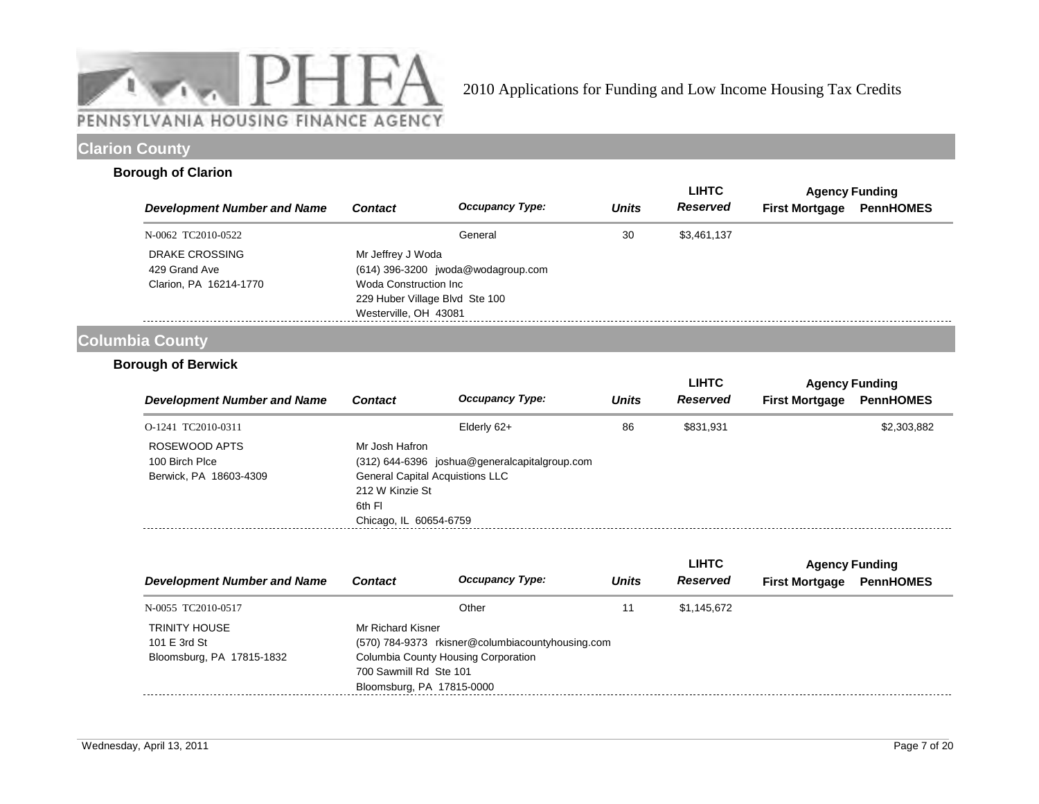

# **Clarion County**

### **Borough of Clarion**

|                                    |                                                                                   |                                      |              | <b>LIHTC</b>    | <b>Agency Funding</b> |                  |
|------------------------------------|-----------------------------------------------------------------------------------|--------------------------------------|--------------|-----------------|-----------------------|------------------|
| <b>Development Number and Name</b> | <b>Contact</b>                                                                    | <b>Occupancy Type:</b>               | <b>Units</b> | <b>Reserved</b> | <b>First Mortgage</b> | <b>PennHOMES</b> |
| N-0062 TC2010-0522                 |                                                                                   | General                              | 30           | \$3,461,137     |                       |                  |
| DRAKE CROSSING<br>429 Grand Ave    | Mr Jeffrey J Woda                                                                 | $(614)$ 396-3200 jwoda@wodagroup.com |              |                 |                       |                  |
| Clarion, PA 16214-1770             | Woda Construction Inc.<br>229 Huber Village Blvd Ste 100<br>Westerville, OH 43081 |                                      |              |                 |                       |                  |

# **Columbia County**

## **Borough of Berwick**

|                                    |                                        |                                               |              | <b>LIHTC</b> | <b>Agency Funding</b> |                  |  |
|------------------------------------|----------------------------------------|-----------------------------------------------|--------------|--------------|-----------------------|------------------|--|
| <b>Development Number and Name</b> | <b>Contact</b>                         | <b>Occupancy Type:</b>                        | <b>Units</b> | Reserved     | <b>First Mortgage</b> | <b>PennHOMES</b> |  |
| O-1241 TC2010-0311                 |                                        | Elderly 62+                                   | 86           | \$831.931    |                       | \$2,303,882      |  |
| ROSEWOOD APTS                      | Mr Josh Hafron                         |                                               |              |              |                       |                  |  |
| 100 Birch Plce                     |                                        | (312) 644-6396 joshua@generalcapitalgroup.com |              |              |                       |                  |  |
| Berwick, PA 18603-4309             | <b>General Capital Acquistions LLC</b> |                                               |              |              |                       |                  |  |
|                                    | 212 W Kinzie St                        |                                               |              |              |                       |                  |  |
|                                    | 6th FI                                 |                                               |              |              |                       |                  |  |
|                                    | Chicago, IL 60654-6759                 |                                               |              |              |                       |                  |  |
|                                    |                                        |                                               |              |              |                       |                  |  |

|                                                                   |                                                                          |                                                                                         |              | <b>LIHTC</b> | <b>Agency Funding</b> |                  |
|-------------------------------------------------------------------|--------------------------------------------------------------------------|-----------------------------------------------------------------------------------------|--------------|--------------|-----------------------|------------------|
| <b>Development Number and Name</b>                                | <b>Contact</b>                                                           | <b>Occupancy Type:</b>                                                                  | <b>Units</b> | Reserved     | <b>First Mortgage</b> | <b>PennHOMES</b> |
| N-0055 TC2010-0517                                                |                                                                          | Other                                                                                   |              | \$1,145,672  |                       |                  |
| <b>TRINITY HOUSE</b><br>101 E 3rd St<br>Bloomsburg, PA 17815-1832 | Mr Richard Kisner<br>700 Sawmill Rd Ste 101<br>Bloomsburg, PA 17815-0000 | (570) 784-9373 rkisner@columbiacountyhousing.com<br>Columbia County Housing Corporation |              |              |                       |                  |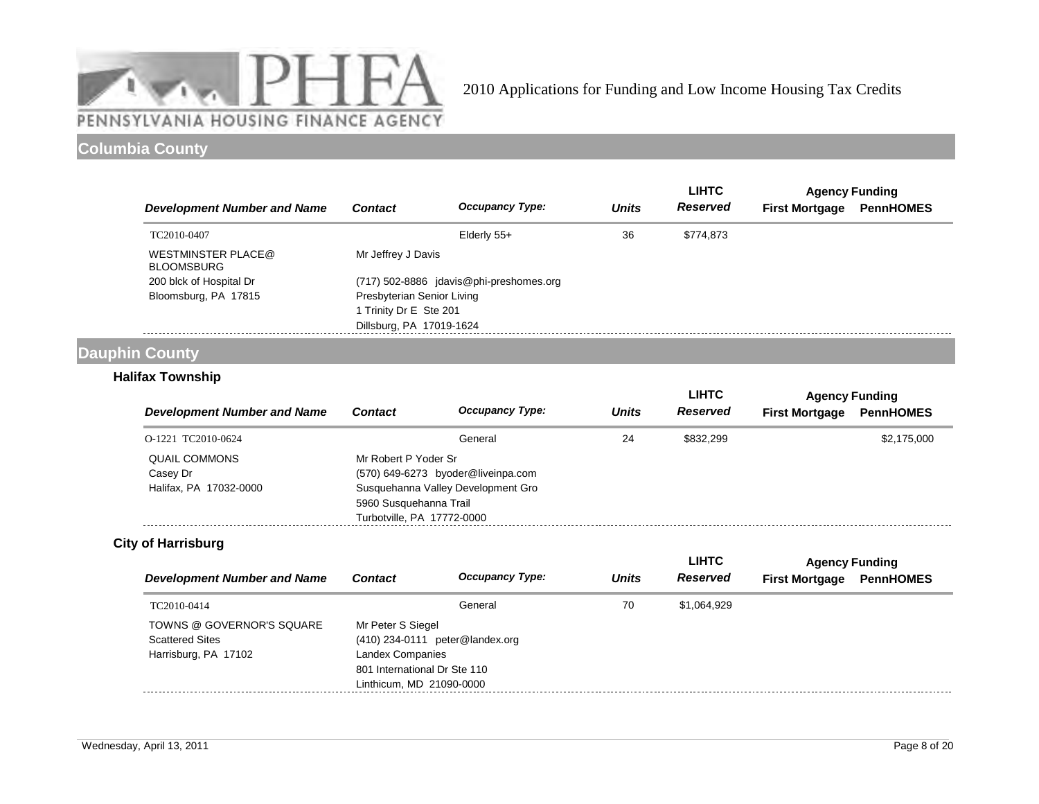

# **Columbia County**

|                                         |                                         |                        |              | <b>LIHTC</b> | <b>Agency Funding</b> |                  |
|-----------------------------------------|-----------------------------------------|------------------------|--------------|--------------|-----------------------|------------------|
| <b>Development Number and Name</b>      | <b>Contact</b>                          | <b>Occupancy Type:</b> | <b>Units</b> | Reserved     | <b>First Mortgage</b> | <b>PennHOMES</b> |
| TC2010-0407                             |                                         | Elderly 55+            | 36           | \$774,873    |                       |                  |
| WESTMINSTER PLACE@<br><b>BLOOMSBURG</b> | Mr Jeffrey J Davis                      |                        |              |              |                       |                  |
| 200 blck of Hospital Dr                 | (717) 502-8886 jdavis@phi-preshomes.org |                        |              |              |                       |                  |
| Bloomsburg, PA 17815                    | Presbyterian Senior Living              |                        |              |              |                       |                  |
|                                         | 1 Trinity Dr E Ste 201                  |                        |              |              |                       |                  |
|                                         | Dillsburg, PA 17019-1624                |                        |              |              |                       |                  |

# **Dauphin County**

## **Halifax Township**

|                                    |                            |                                                            |              | <b>LIHTC</b>    | <b>Agency Funding</b> |                  |
|------------------------------------|----------------------------|------------------------------------------------------------|--------------|-----------------|-----------------------|------------------|
| <b>Development Number and Name</b> | <b>Contact</b>             | <b>Occupancy Type:</b>                                     | <b>Units</b> | <b>Reserved</b> | <b>First Mortgage</b> | <b>PennHOMES</b> |
| O-1221 TC2010-0624                 |                            | General                                                    | 24           | \$832.299       |                       | \$2,175,000      |
| <b>QUAIL COMMONS</b><br>Casey Dr   |                            | Mr Robert P Yoder Sr<br>(570) 649-6273 byoder@liveinpa.com |              |                 |                       |                  |
| Halifax, PA 17032-0000             | 5960 Susquehanna Trail     | Susquehanna Valley Development Gro                         |              |                 |                       |                  |
|                                    | Turbotville, PA 17772-0000 |                                                            |              |                 |                       |                  |

## **City of Harrisburg**

|                                    |                              |                                 |              | <b>LIHTC</b> | <b>Agency Funding</b> |                  |
|------------------------------------|------------------------------|---------------------------------|--------------|--------------|-----------------------|------------------|
| <b>Development Number and Name</b> | <b>Contact</b>               | <b>Occupancy Type:</b>          | <b>Units</b> | Reserved     | <b>First Mortgage</b> | <b>PennHOMES</b> |
| TC2010-0414                        |                              | General                         | 70           | \$1.064.929  |                       |                  |
| TOWNS @ GOVERNOR'S SQUARE          | Mr Peter S Siegel            |                                 |              |              |                       |                  |
| <b>Scattered Sites</b>             |                              | (410) 234-0111 peter@landex.org |              |              |                       |                  |
| Harrisburg, PA 17102               | Landex Companies             |                                 |              |              |                       |                  |
|                                    | 801 International Dr Ste 110 |                                 |              |              |                       |                  |
|                                    | Linthicum. MD 21090-0000     |                                 |              |              |                       |                  |
|                                    |                              |                                 |              |              |                       |                  |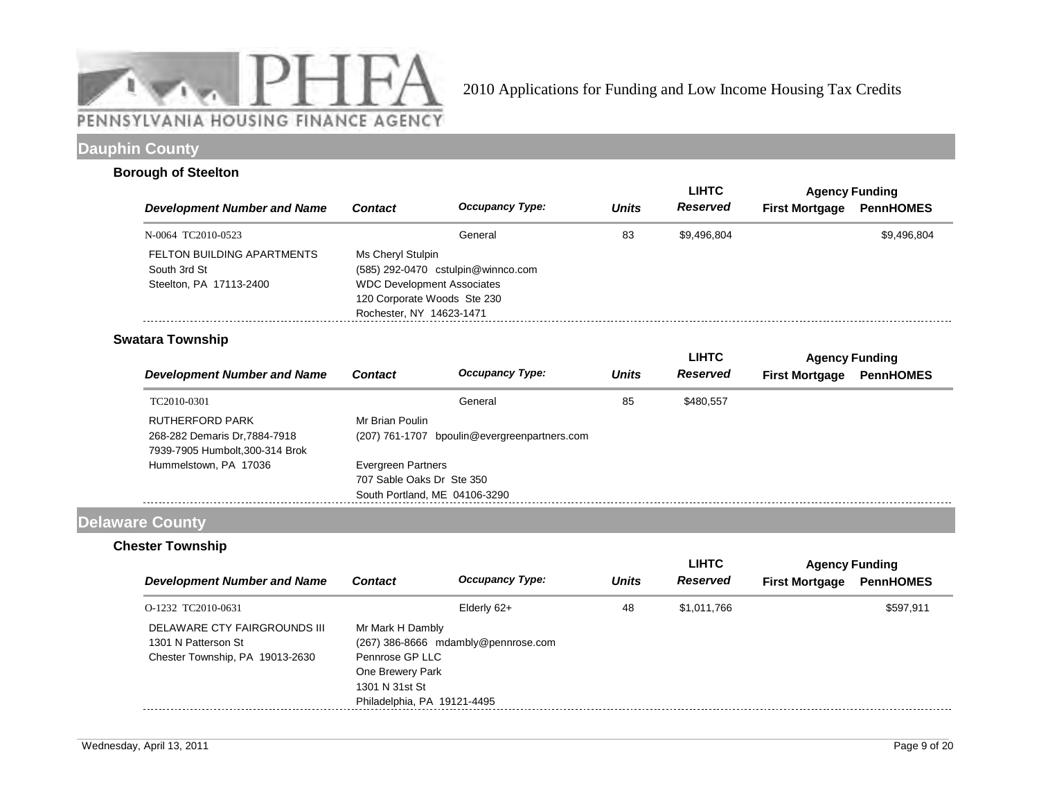

# **Dauphin County**

### **Borough of Steelton**

|                                                                       |                                                                                                                                                         |                        |              | <b>LIHTC</b> | <b>Agency Funding</b> |                  |
|-----------------------------------------------------------------------|---------------------------------------------------------------------------------------------------------------------------------------------------------|------------------------|--------------|--------------|-----------------------|------------------|
| <b>Development Number and Name</b>                                    | <b>Contact</b>                                                                                                                                          | <b>Occupancy Type:</b> | <b>Units</b> | Reserved     | <b>First Mortgage</b> | <b>PennHOMES</b> |
| N-0064 TC2010-0523                                                    | General                                                                                                                                                 |                        | 83           | \$9.496.804  |                       | \$9,496,804      |
| FELTON BUILDING APARTMENTS<br>South 3rd St<br>Steelton, PA 17113-2400 | Ms Cheryl Stulpin<br>(585) 292-0470 cstulpin@winnco.com<br><b>WDC Development Associates</b><br>120 Corporate Woods Ste 230<br>Rochester, NY 14623-1471 |                        |              |              |                       |                  |

# **Swatara Township**

|                                                                                           |                           |                                              |              | <b>LIHTC</b> | <b>Agency Funding</b> |                  |
|-------------------------------------------------------------------------------------------|---------------------------|----------------------------------------------|--------------|--------------|-----------------------|------------------|
| <b>Development Number and Name</b>                                                        | <b>Contact</b>            | <b>Occupancy Type:</b>                       | <b>Units</b> | Reserved     | <b>First Mortgage</b> | <b>PennHOMES</b> |
| TC2010-0301                                                                               |                           | General                                      | 85           | \$480,557    |                       |                  |
| <b>RUTHERFORD PARK</b><br>268-282 Demaris Dr.7884-7918<br>7939-7905 Humbolt, 300-314 Brok | Mr Brian Poulin           | (207) 761-1707 bpoulin@evergreenpartners.com |              |              |                       |                  |
| Hummelstown, PA 17036                                                                     | Evergreen Partners        |                                              |              |              |                       |                  |
|                                                                                           | 707 Sable Oaks Dr Ste 350 |                                              |              |              |                       |                  |
|                                                                                           |                           | South Portland, ME 04106-3290                |              |              |                       |                  |

# **Delaware County**

## **Chester Township**

|                                                                                        |                                                                                                          |                                     |              | <b>LIHTC</b> | <b>Agency Funding</b> |                  |
|----------------------------------------------------------------------------------------|----------------------------------------------------------------------------------------------------------|-------------------------------------|--------------|--------------|-----------------------|------------------|
| <b>Development Number and Name</b>                                                     | <b>Contact</b>                                                                                           | <b>Occupancy Type:</b>              | <b>Units</b> | Reserved     | <b>First Mortgage</b> | <b>PennHOMES</b> |
| O-1232 TC2010-0631                                                                     |                                                                                                          | Elderly 62+                         | 48           | \$1,011,766  |                       | \$597.911        |
| DELAWARE CTY FAIRGROUNDS III<br>1301 N Patterson St<br>Chester Township, PA 19013-2630 | Mr Mark H Dambly<br>Pennrose GP LLC<br>One Brewery Park<br>1301 N 31st St<br>Philadelphia, PA 19121-4495 | (267) 386-8666 mdambly@pennrose.com |              |              |                       |                  |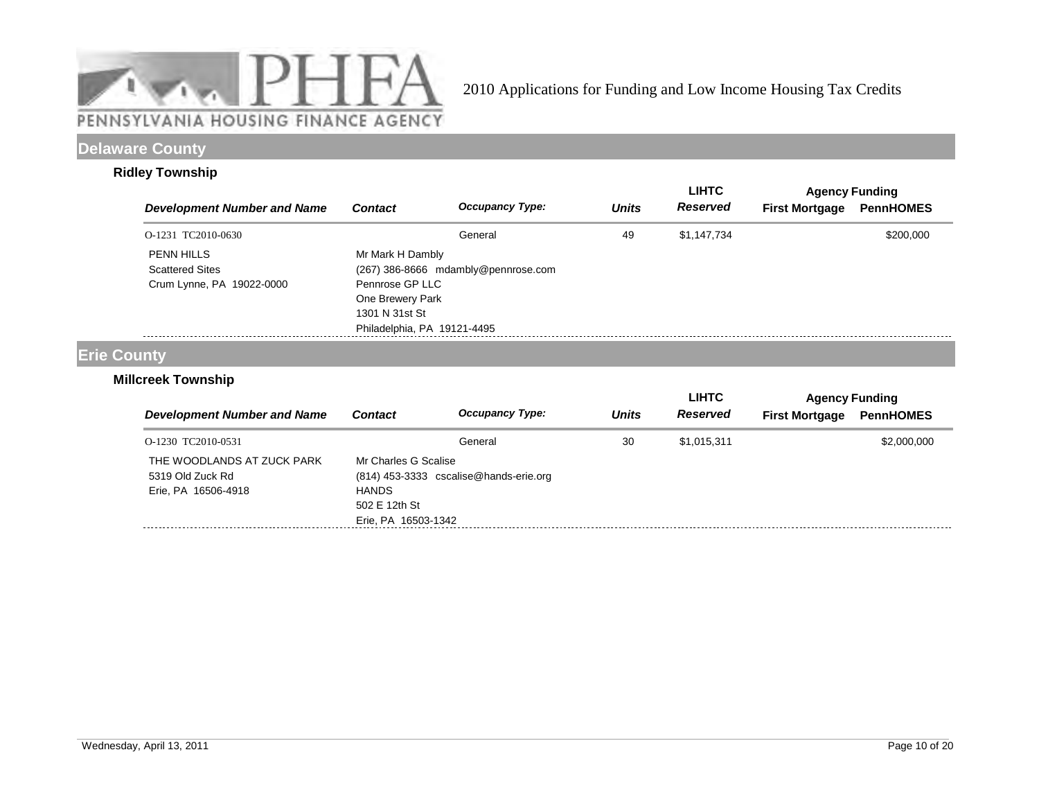

# **Delaware County**

### **Ridley Township**

| <b>Development Number and Name</b>                                       | <b>Contact</b>                                                                                           | <b>Occupancy Type:</b>              | <b>Units</b> | LIHTC<br><b>Reserved</b> | <b>First Mortgage</b> | <b>Agency Funding</b><br><b>PennHOMES</b> |
|--------------------------------------------------------------------------|----------------------------------------------------------------------------------------------------------|-------------------------------------|--------------|--------------------------|-----------------------|-------------------------------------------|
| O-1231 TC2010-0630                                                       |                                                                                                          | General                             | 49           | \$1,147,734              |                       | \$200,000                                 |
| <b>PENN HILLS</b><br><b>Scattered Sites</b><br>Crum Lynne, PA 19022-0000 | Mr Mark H Dambly<br>Pennrose GP LLC<br>One Brewery Park<br>1301 N 31st St<br>Philadelphia, PA 19121-4495 | (267) 386-8666 mdambly@pennrose.com |              |                          |                       |                                           |

# **Erie County**

## **Millcreek Township**

|                                                                       |                                                                              |                                        |              | <b>LIHTC</b>    | <b>Agency Funding</b> |                  |
|-----------------------------------------------------------------------|------------------------------------------------------------------------------|----------------------------------------|--------------|-----------------|-----------------------|------------------|
| <b>Development Number and Name</b>                                    | <b>Contact</b>                                                               | <b>Occupancy Type:</b>                 | <b>Units</b> | <b>Reserved</b> | <b>First Mortgage</b> | <b>PennHOMES</b> |
| O-1230 TC2010-0531                                                    |                                                                              | General                                | 30           | \$1,015,311     |                       | \$2,000,000      |
| THE WOODLANDS AT ZUCK PARK<br>5319 Old Zuck Rd<br>Erie, PA 16506-4918 | Mr Charles G Scalise<br><b>HANDS</b><br>502 E 12th St<br>Erie, PA 16503-1342 | (814) 453-3333 cscalise@hands-erie.org |              |                 |                       |                  |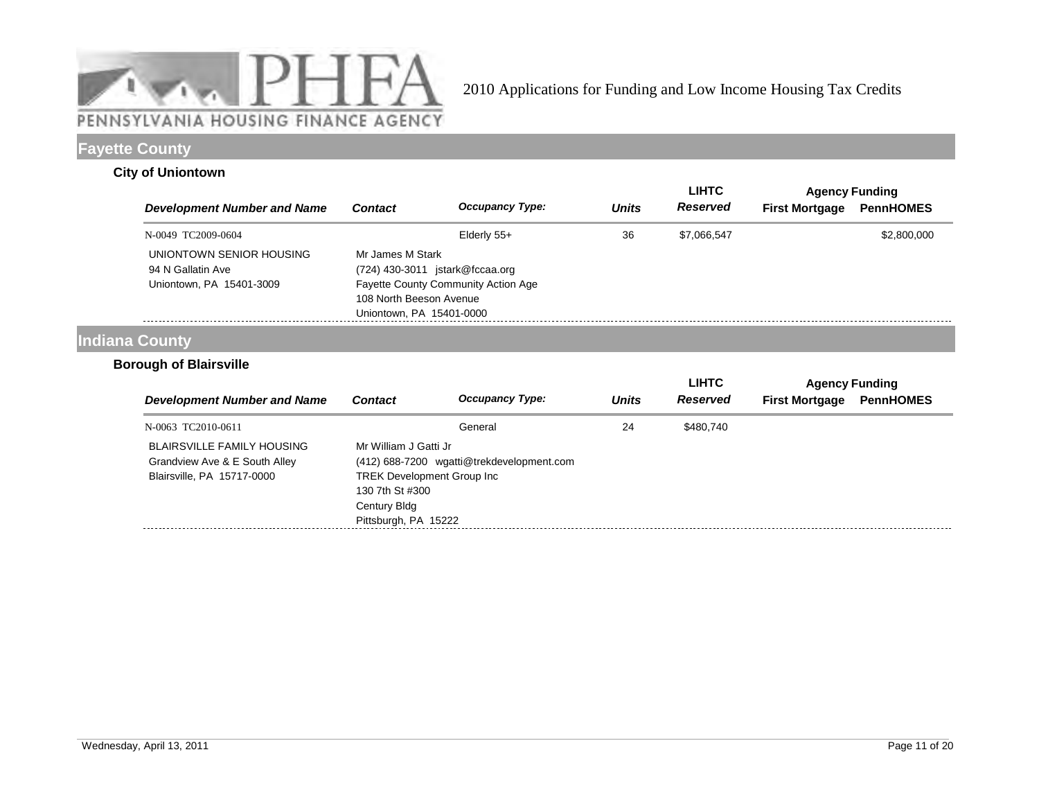

# **Fayette County**

### **City of Uniontown**

|                                               |                          |                                                       |              | LIHTC           | <b>Agency Funding</b> |                  |  |  |
|-----------------------------------------------|--------------------------|-------------------------------------------------------|--------------|-----------------|-----------------------|------------------|--|--|
| <b>Development Number and Name</b>            | <b>Contact</b>           | <b>Occupancy Type:</b>                                | <b>Units</b> | <b>Reserved</b> | <b>First Mortgage</b> | <b>PennHOMES</b> |  |  |
| N-0049 TC2009-0604                            |                          | Elderly 55+                                           | 36           | \$7,066,547     |                       | \$2,800,000      |  |  |
| UNIONTOWN SENIOR HOUSING<br>94 N Gallatin Ave |                          | Mr James M Stark<br>$(724)$ 430-3011 istark@fccaa.org |              |                 |                       |                  |  |  |
| Uniontown, PA 15401-3009                      | 108 North Beeson Avenue  | <b>Fayette County Community Action Age</b>            |              |                 |                       |                  |  |  |
|                                               | Uniontown, PA 15401-0000 |                                                       |              |                 |                       |                  |  |  |

# **Indiana County**

## **Borough of Blairsville**

|                                                                                                  |                                                                                                                        |                                           |              | <b>LIHTC</b> | <b>Agency Funding</b> |                  |
|--------------------------------------------------------------------------------------------------|------------------------------------------------------------------------------------------------------------------------|-------------------------------------------|--------------|--------------|-----------------------|------------------|
| Development Number and Name                                                                      | <b>Contact</b>                                                                                                         | <b>Occupancy Type:</b>                    | <b>Units</b> | Reserved     | <b>First Mortgage</b> | <b>PennHOMES</b> |
| N-0063 TC2010-0611                                                                               |                                                                                                                        | General                                   | 24           | \$480,740    |                       |                  |
| <b>BLAIRSVILLE FAMILY HOUSING</b><br>Grandview Ave & E South Alley<br>Blairsville, PA 15717-0000 | Mr William J Gatti Jr<br><b>TREK Development Group Inc.</b><br>130 7th St #300<br>Century Bldg<br>Pittsburgh, PA 15222 | (412) 688-7200 wgatti@trekdevelopment.com |              |              |                       |                  |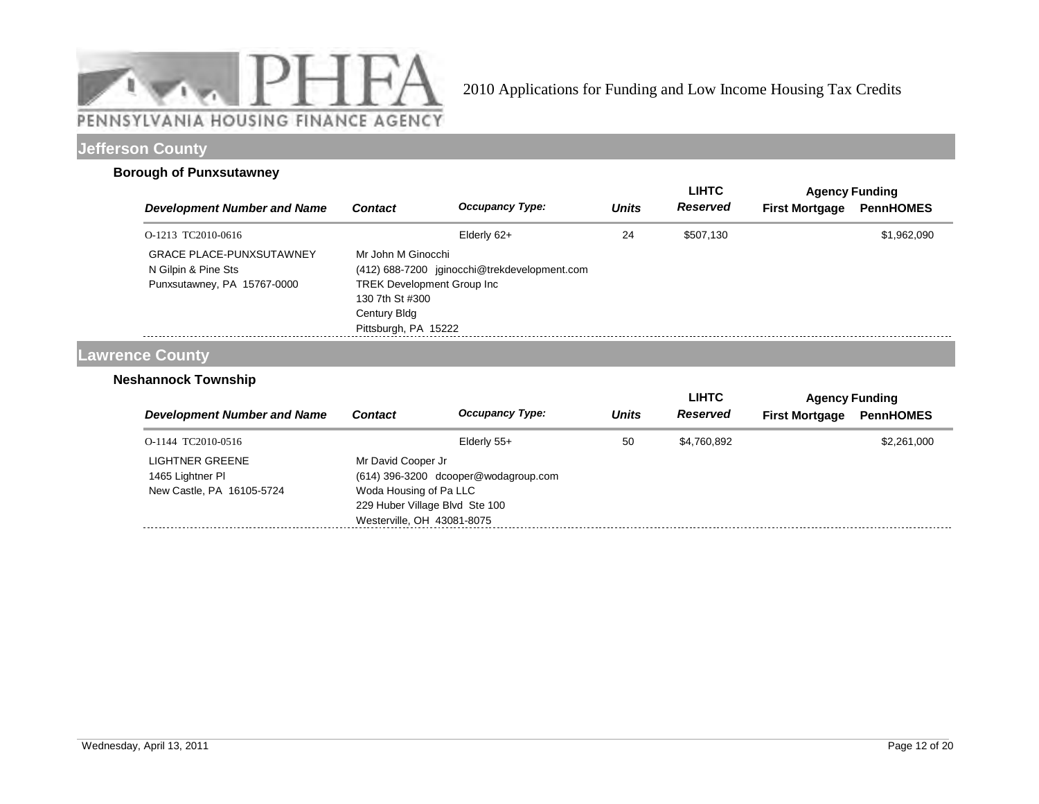

# **Jefferson County**

### **Borough of Punxsutawney**

|                                                                                       |                                                                                                                     |                                              |              | <b>LIHTC</b> | <b>Agency Funding</b> |                  |
|---------------------------------------------------------------------------------------|---------------------------------------------------------------------------------------------------------------------|----------------------------------------------|--------------|--------------|-----------------------|------------------|
| <b>Development Number and Name</b>                                                    | <b>Contact</b>                                                                                                      | <b>Occupancy Type:</b>                       | <b>Units</b> | Reserved     | <b>First Mortgage</b> | <b>PennHOMES</b> |
| O-1213 TC2010-0616                                                                    |                                                                                                                     | Elderly 62+                                  | 24           | \$507,130    |                       | \$1,962,090      |
| <b>GRACE PLACE-PUNXSUTAWNEY</b><br>N Gilpin & Pine Sts<br>Punxsutawney, PA 15767-0000 | Mr John M Ginocchi<br><b>TREK Development Group Inc.</b><br>130 7th St #300<br>Century Bldg<br>Pittsburgh, PA 15222 | (412) 688-7200 jginocchi@trekdevelopment.com |              |              |                       |                  |

## **Lawrence County**

## **Neshannock Township**

|                                                                  |                                                                                                                                                      |                        |              | <b>LIHTC</b>    | <b>Agency Funding</b> |                  |
|------------------------------------------------------------------|------------------------------------------------------------------------------------------------------------------------------------------------------|------------------------|--------------|-----------------|-----------------------|------------------|
| <b>Development Number and Name</b>                               | <b>Contact</b>                                                                                                                                       | <b>Occupancy Type:</b> | <b>Units</b> | <b>Reserved</b> | <b>First Mortgage</b> | <b>PennHOMES</b> |
| O-1144 TC2010-0516                                               |                                                                                                                                                      | Elderly 55+            | 50           | \$4.760.892     |                       | \$2,261,000      |
| LIGHTNER GREENE<br>1465 Lightner PI<br>New Castle, PA 16105-5724 | Mr David Cooper Jr<br>(614) 396-3200 dcooper@wodagroup.com<br>Woda Housing of Pa LLC<br>229 Huber Village Blvd Ste 100<br>Westerville, OH 43081-8075 |                        |              |                 |                       |                  |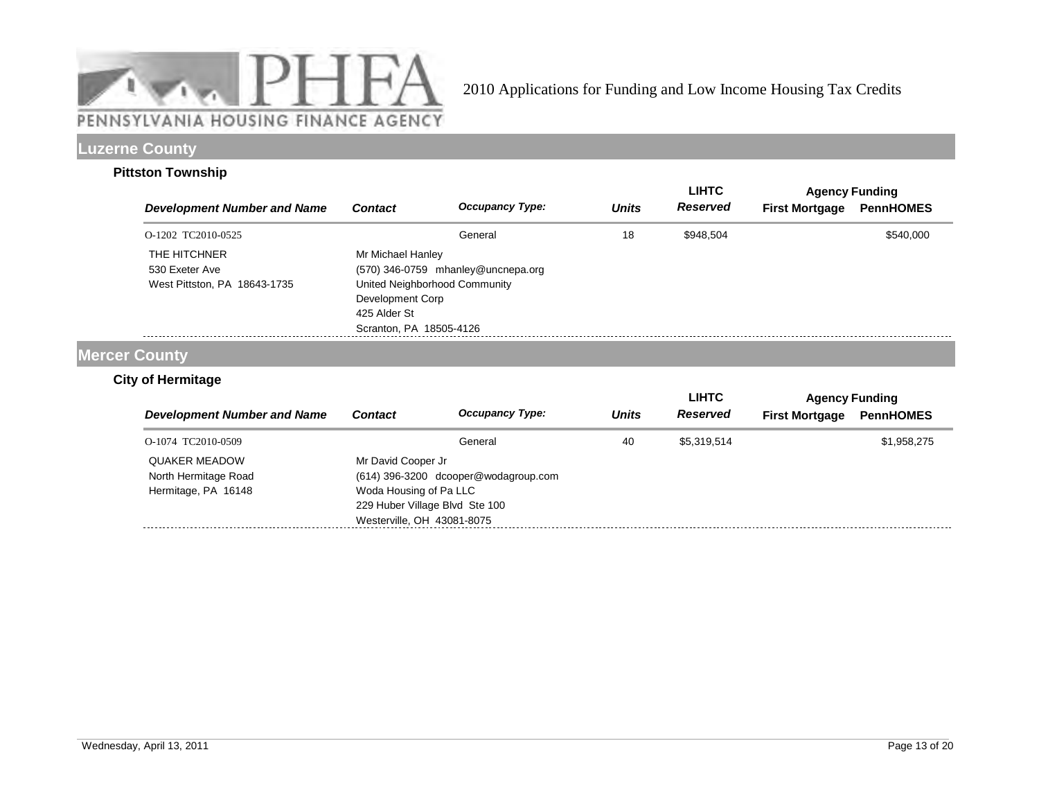

# **Luzerne County**

### **Pittston Township**

|                                                                |                                                                                                                   |                                    |              | <b>LIHTC</b> |                       | <b>Agency Funding</b> |
|----------------------------------------------------------------|-------------------------------------------------------------------------------------------------------------------|------------------------------------|--------------|--------------|-----------------------|-----------------------|
| <b>Development Number and Name</b>                             | <b>Contact</b>                                                                                                    | <b>Occupancy Type:</b>             | <b>Units</b> | Reserved     | <b>First Mortgage</b> | <b>PennHOMES</b>      |
| O-1202 TC2010-0525                                             |                                                                                                                   | General                            | 18           | \$948,504    |                       | \$540,000             |
| THE HITCHNER<br>530 Exeter Ave<br>West Pittston, PA 18643-1735 | Mr Michael Hanley<br>United Neighborhood Community<br>Development Corp<br>425 Alder St<br>Scranton, PA 18505-4126 | (570) 346-0759 mhanley@uncnepa.org |              |              |                       |                       |

# **Mercer County**

## **City of Hermitage**

|                                              |                                                                                        |                                      |              | LIHTC           | <b>Agency Funding</b> |                  |
|----------------------------------------------|----------------------------------------------------------------------------------------|--------------------------------------|--------------|-----------------|-----------------------|------------------|
| <b>Development Number and Name</b>           | <b>Contact</b>                                                                         | <b>Occupancy Type:</b>               | <b>Units</b> | <b>Reserved</b> | <b>First Mortgage</b> | <b>PennHOMES</b> |
| O-1074 TC2010-0509                           |                                                                                        | General                              | 40           | \$5,319,514     |                       | \$1,958,275      |
| <b>QUAKER MEADOW</b><br>North Hermitage Road | Mr David Cooper Jr                                                                     | (614) 396-3200 dcooper@wodagroup.com |              |                 |                       |                  |
| Hermitage, PA 16148                          | Woda Housing of Pa LLC<br>229 Huber Village Blvd Ste 100<br>Westerville, OH 43081-8075 |                                      |              |                 |                       |                  |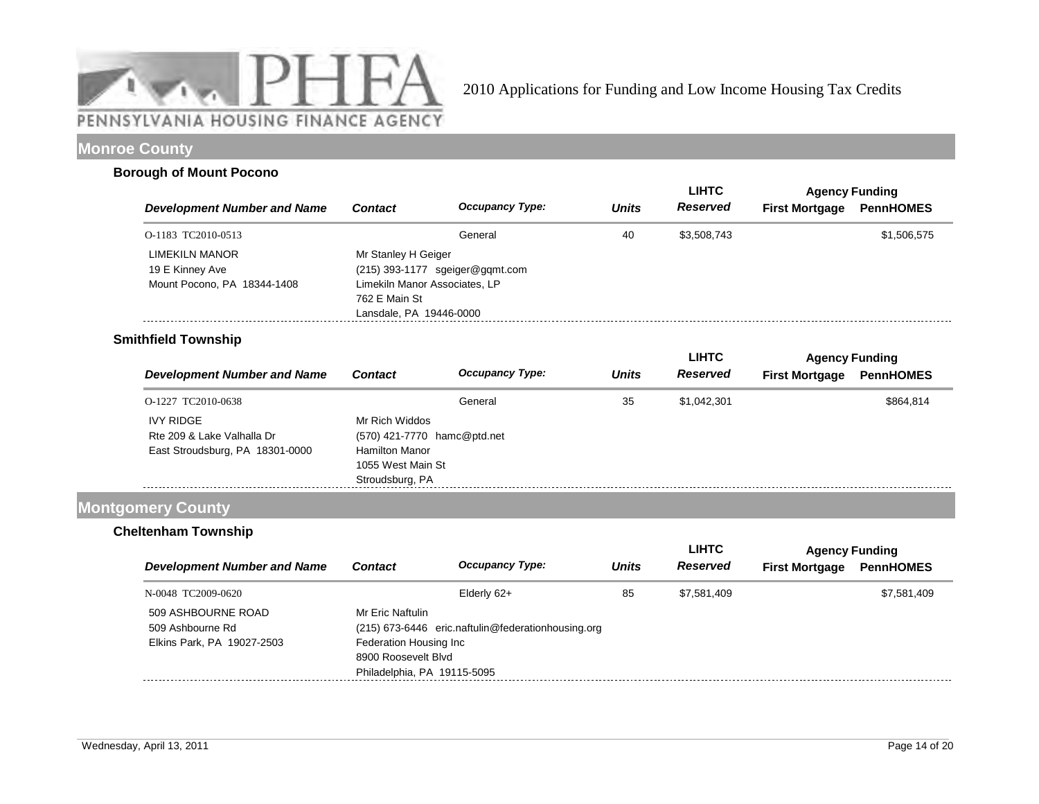

# **Monroe County**

#### **Borough of Mount Pocono**

|                                                                  |                                                                                                  |                                   |              | <b>LIHTC</b> | <b>Agency Funding</b> |                  |
|------------------------------------------------------------------|--------------------------------------------------------------------------------------------------|-----------------------------------|--------------|--------------|-----------------------|------------------|
| <b>Development Number and Name</b>                               | <b>Contact</b>                                                                                   | <b>Occupancy Type:</b>            | <b>Units</b> | Reserved     | <b>First Mortgage</b> | <b>PennHOMES</b> |
| O-1183 TC2010-0513                                               |                                                                                                  | General                           | 40           | \$3.508.743  |                       | \$1,506,575      |
| LIMEKILN MANOR<br>19 E Kinney Ave<br>Mount Pocono, PA 18344-1408 | Mr Stanley H Geiger<br>Limekiln Manor Associates, LP<br>762 E Main St<br>Lansdale, PA 19446-0000 | $(215)$ 393-1177 sgeiger@gqmt.com |              |              |                       |                  |

## **Smithfield Township**

|                                    |                             |                        |              | <b>LIHTC</b>    | <b>Agency Funding</b> |                  |
|------------------------------------|-----------------------------|------------------------|--------------|-----------------|-----------------------|------------------|
| <b>Development Number and Name</b> | <b>Contact</b>              | <b>Occupancy Type:</b> | <b>Units</b> | <b>Reserved</b> | <b>First Mortgage</b> | <b>PennHOMES</b> |
| O-1227 TC2010-0638                 |                             | General                | 35           | \$1,042,301     |                       | \$864,814        |
| <b>IVY RIDGE</b>                   | Mr Rich Widdos              |                        |              |                 |                       |                  |
| Rte 209 & Lake Valhalla Dr         | (570) 421-7770 hamc@ptd.net |                        |              |                 |                       |                  |
| East Stroudsburg, PA 18301-0000    | <b>Hamilton Manor</b>       |                        |              |                 |                       |                  |
|                                    | 1055 West Main St           |                        |              |                 |                       |                  |
|                                    | Stroudsburg, PA             |                        |              |                 |                       |                  |

## **Montgomery County**

## **Cheltenham Township**

|                                    |                             |                                                    |              | <b>LIHTC</b>    |                       | <b>Agency Funding</b> |
|------------------------------------|-----------------------------|----------------------------------------------------|--------------|-----------------|-----------------------|-----------------------|
| <b>Development Number and Name</b> | <b>Contact</b>              | <b>Occupancy Type:</b>                             | <b>Units</b> | <b>Reserved</b> | <b>First Mortgage</b> | <b>PennHOMES</b>      |
| N-0048 TC2009-0620                 |                             | Elderly 62+                                        | 85           | \$7.581.409     |                       | \$7,581,409           |
| 509 ASHBOURNE ROAD                 | Mr Fric Naftulin            |                                                    |              |                 |                       |                       |
| 509 Ashbourne Rd                   |                             | (215) 673-6446 eric.naftulin@federationhousing.org |              |                 |                       |                       |
| Elkins Park, PA 19027-2503         | Federation Housing Inc      |                                                    |              |                 |                       |                       |
|                                    | 8900 Roosevelt Blvd         |                                                    |              |                 |                       |                       |
|                                    | Philadelphia, PA 19115-5095 |                                                    |              |                 |                       |                       |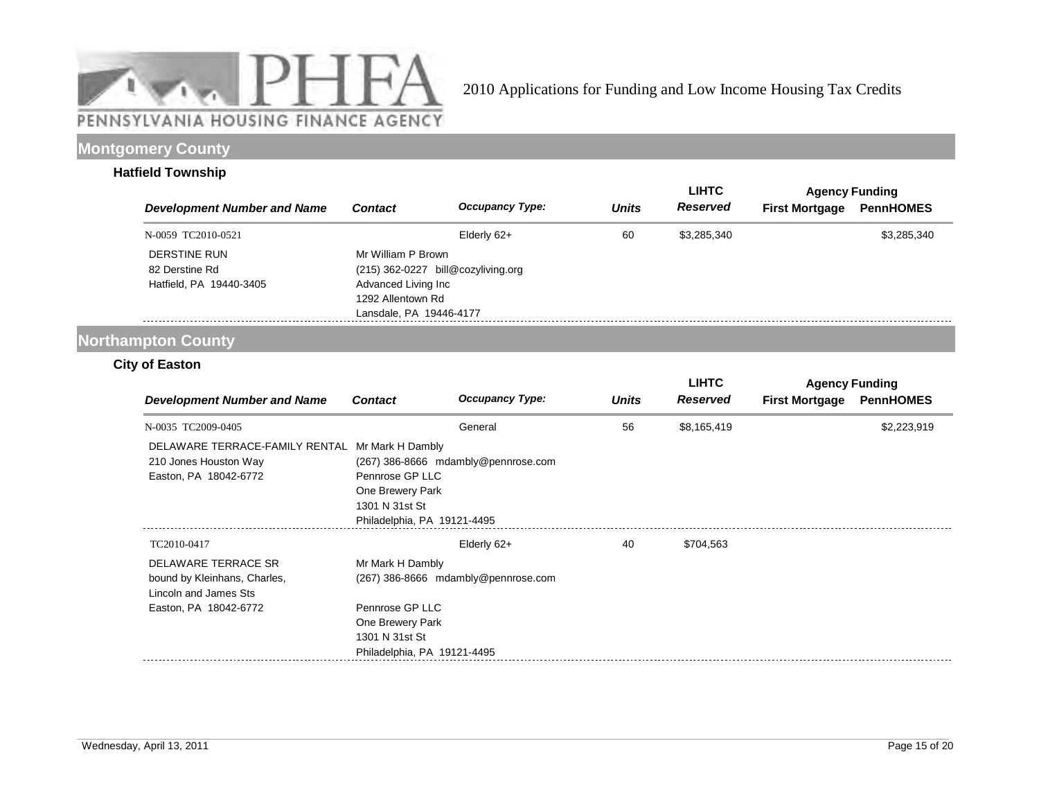

# **Montgomery County**

### **Hatfield Township**

|                                    |                                    |                        |              | <b>LIHTC</b>    |                       | <b>Agency Funding</b> |
|------------------------------------|------------------------------------|------------------------|--------------|-----------------|-----------------------|-----------------------|
| <b>Development Number and Name</b> | <b>Contact</b>                     | <b>Occupancy Type:</b> | <b>Units</b> | <b>Reserved</b> | <b>First Mortgage</b> | <b>PennHOMES</b>      |
| N-0059 TC2010-0521                 |                                    | Elderly 62+            | 60           | \$3,285,340     |                       | \$3,285,340           |
| DERSTINE RUN                       | Mr William P Brown                 |                        |              |                 |                       |                       |
| 82 Derstine Rd                     | (215) 362-0227 bill@cozyliving.org |                        |              |                 |                       |                       |
| Hatfield, PA 19440-3405            | Advanced Living Inc                |                        |              |                 |                       |                       |
|                                    | 1292 Allentown Rd                  |                        |              |                 |                       |                       |
|                                    | Lansdale, PA 19446-4177            |                        |              |                 |                       |                       |

# **Northampton County**

## **City of Easton**

|                                                                                  |                                                                                                          |                                     |              | <b>LIHTC</b>    | <b>Agency Funding</b> |                  |
|----------------------------------------------------------------------------------|----------------------------------------------------------------------------------------------------------|-------------------------------------|--------------|-----------------|-----------------------|------------------|
| <b>Development Number and Name</b>                                               | <b>Contact</b>                                                                                           | <b>Occupancy Type:</b>              | <b>Units</b> | <b>Reserved</b> | <b>First Mortgage</b> | <b>PennHOMES</b> |
| N-0035 TC2009-0405                                                               |                                                                                                          | General                             | 56           | \$8,165,419     |                       | \$2,223,919      |
| DELAWARE TERRACE-FAMILY RENTAL<br>210 Jones Houston Way<br>Easton, PA 18042-6772 | Mr Mark H Dambly<br>Pennrose GP LLC<br>One Brewery Park<br>1301 N 31st St<br>Philadelphia, PA 19121-4495 | (267) 386-8666 mdambly@pennrose.com |              |                 |                       |                  |
| TC2010-0417                                                                      |                                                                                                          | Elderly 62+                         | 40           | \$704,563       |                       |                  |
| DELAWARE TERRACE SR<br>bound by Kleinhans, Charles,<br>Lincoln and James Sts     | Mr Mark H Dambly                                                                                         | (267) 386-8666 mdambly@pennrose.com |              |                 |                       |                  |
| Easton, PA 18042-6772                                                            | Pennrose GP LLC<br>One Brewery Park<br>1301 N 31st St<br>Philadelphia, PA 19121-4495                     |                                     |              |                 |                       |                  |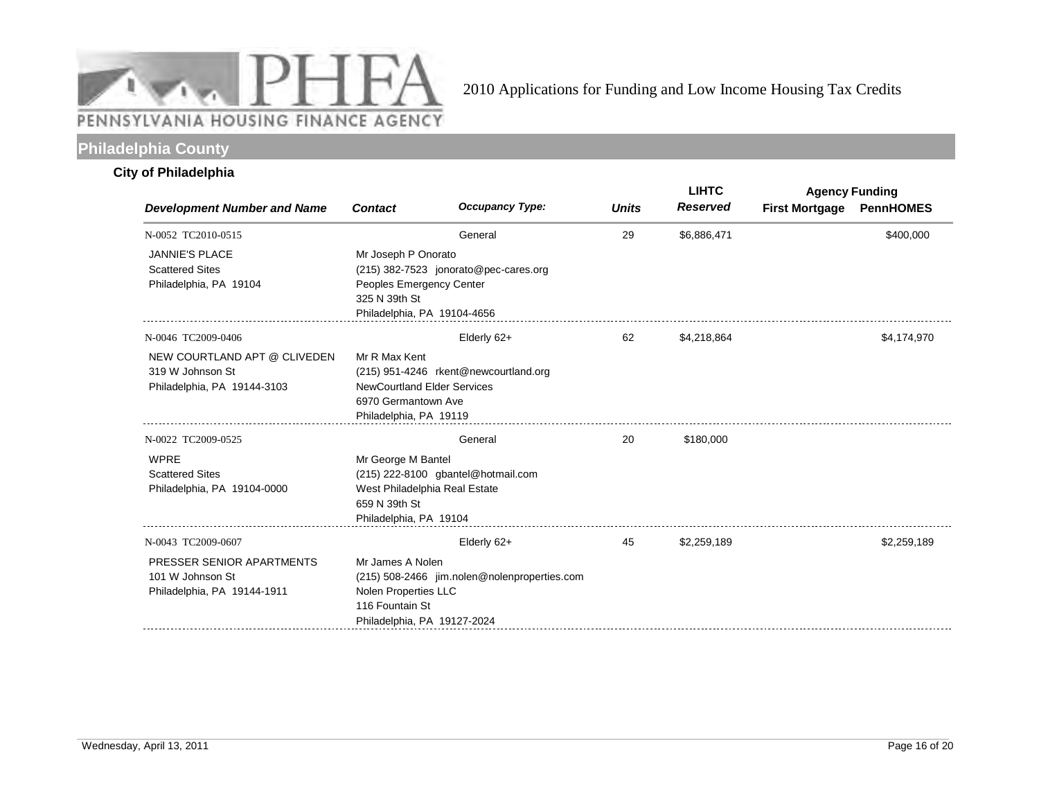

# **Philadelphia County**

## **City of Philadelphia**

|                                                                                 |                                                                                                      |                                              |              | <b>LIHTC</b>    | <b>Agency Funding</b> |                  |
|---------------------------------------------------------------------------------|------------------------------------------------------------------------------------------------------|----------------------------------------------|--------------|-----------------|-----------------------|------------------|
| <b>Development Number and Name</b>                                              | <b>Contact</b>                                                                                       | <b>Occupancy Type:</b>                       | <b>Units</b> | <b>Reserved</b> | <b>First Mortgage</b> | <b>PennHOMES</b> |
| N-0052 TC2010-0515                                                              |                                                                                                      | General                                      | 29           | \$6,886,471     |                       | \$400,000        |
| <b>JANNIE'S PLACE</b><br><b>Scattered Sites</b><br>Philadelphia, PA 19104       | Mr Joseph P Onorato<br>Peoples Emergency Center<br>325 N 39th St<br>Philadelphia, PA 19104-4656      | (215) 382-7523 jonorato@pec-cares.org        |              |                 |                       |                  |
| N-0046 TC2009-0406                                                              |                                                                                                      | Elderly 62+                                  | 62           | \$4,218,864     |                       | \$4,174,970      |
| NEW COURTLAND APT @ CLIVEDEN<br>319 W Johnson St<br>Philadelphia, PA 19144-3103 | Mr R Max Kent<br><b>NewCourtland Elder Services</b><br>6970 Germantown Ave<br>Philadelphia, PA 19119 | (215) 951-4246 rkent@newcourtland.org        |              |                 |                       |                  |
| N-0022 TC2009-0525                                                              |                                                                                                      | General                                      | 20           | \$180,000       |                       |                  |
| <b>WPRE</b><br><b>Scattered Sites</b><br>Philadelphia, PA 19104-0000            | Mr George M Bantel<br>West Philadelphia Real Estate<br>659 N 39th St<br>Philadelphia, PA 19104       | (215) 222-8100 gbantel@hotmail.com           |              |                 |                       |                  |
| N-0043 TC2009-0607                                                              |                                                                                                      | Elderly 62+                                  | 45           | \$2,259,189     |                       | \$2,259,189      |
| PRESSER SENIOR APARTMENTS<br>101 W Johnson St<br>Philadelphia, PA 19144-1911    | Mr James A Nolen<br>Nolen Properties LLC<br>116 Fountain St<br>Philadelphia, PA 19127-2024           | (215) 508-2466 jim.nolen@nolenproperties.com |              |                 |                       |                  |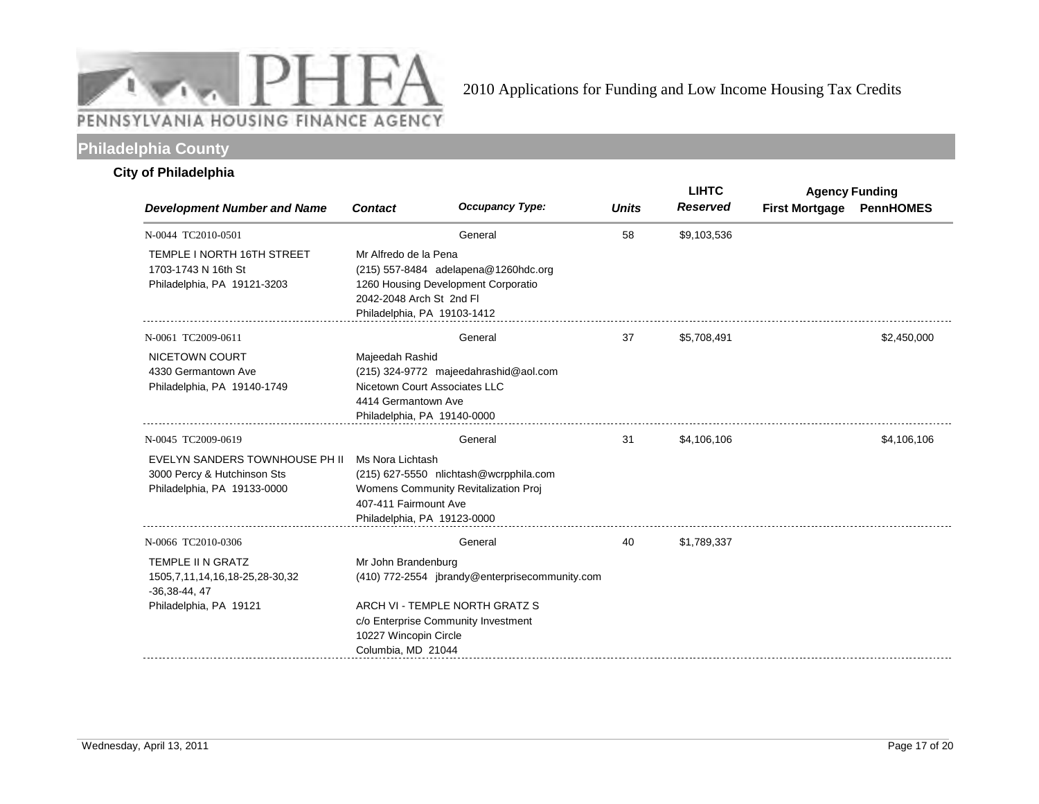

# **Philadelphia County**

## **City of Philadelphia**

|                                                                                              |                                                                                  |                                                                                |              | <b>LIHTC</b>    |                       | <b>Agency Funding</b> |
|----------------------------------------------------------------------------------------------|----------------------------------------------------------------------------------|--------------------------------------------------------------------------------|--------------|-----------------|-----------------------|-----------------------|
| <b>Development Number and Name</b>                                                           | <b>Contact</b>                                                                   | <b>Occupancy Type:</b>                                                         | <b>Units</b> | <b>Reserved</b> | <b>First Mortgage</b> | <b>PennHOMES</b>      |
| N-0044 TC2010-0501                                                                           |                                                                                  | General                                                                        | 58           | \$9,103,536     |                       |                       |
| TEMPLE I NORTH 16TH STREET<br>1703-1743 N 16th St<br>Philadelphia, PA 19121-3203             | Mr Alfredo de la Pena<br>2042-2048 Arch St 2nd Fl<br>Philadelphia, PA 19103-1412 | (215) 557-8484 adelapena@1260hdc.org<br>1260 Housing Development Corporatio    |              |                 |                       |                       |
| N-0061 TC2009-0611                                                                           |                                                                                  | General                                                                        | 37           | \$5,708,491     |                       | \$2,450,000           |
| NICETOWN COURT<br>4330 Germantown Ave<br>Philadelphia, PA 19140-1749                         | Majeedah Rashid<br>4414 Germantown Ave<br>Philadelphia, PA 19140-0000            | (215) 324-9772 majeedahrashid@aol.com<br>Nicetown Court Associates LLC         |              |                 |                       |                       |
| N-0045 TC2009-0619                                                                           |                                                                                  | General                                                                        | 31           | \$4,106,106     |                       | \$4,106,106           |
| EVELYN SANDERS TOWNHOUSE PH II<br>3000 Percy & Hutchinson Sts<br>Philadelphia, PA 19133-0000 | Ms Nora Lichtash<br>407-411 Fairmount Ave<br>Philadelphia, PA 19123-0000         | (215) 627-5550 nlichtash@wcrpphila.com<br>Womens Community Revitalization Proj |              |                 |                       |                       |
| N-0066 TC2010-0306                                                                           |                                                                                  | General                                                                        | 40           | \$1,789,337     |                       |                       |
| TEMPLE II N GRATZ<br>1505, 7, 11, 14, 16, 18-25, 28-30, 32<br>$-36,38-44,47$                 | Mr John Brandenburg                                                              | (410) 772-2554 jbrandy@enterprisecommunity.com                                 |              |                 |                       |                       |
| Philadelphia, PA 19121                                                                       | 10227 Wincopin Circle<br>Columbia, MD 21044                                      | ARCH VI - TEMPLE NORTH GRATZ S<br>c/o Enterprise Community Investment          |              |                 |                       |                       |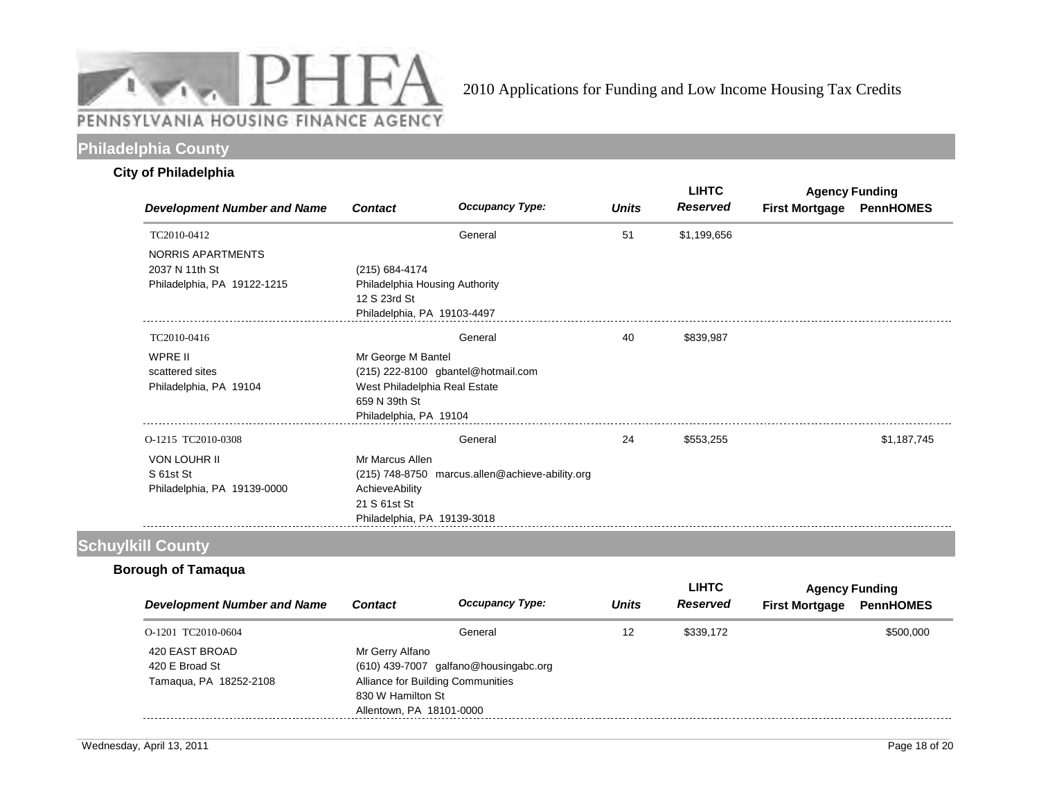

# **Philadelphia County**

### **City of Philadelphia**

| <b>Development Number and Name</b> |                                |                                                 |              | <b>LIHTC</b><br><b>Reserved</b> | <b>Agency Funding</b> |                  |  |
|------------------------------------|--------------------------------|-------------------------------------------------|--------------|---------------------------------|-----------------------|------------------|--|
|                                    | <b>Contact</b>                 | <b>Occupancy Type:</b>                          | <b>Units</b> |                                 | <b>First Mortgage</b> | <b>PennHOMES</b> |  |
| TC2010-0412                        |                                | General                                         | 51           | \$1,199,656                     |                       |                  |  |
| NORRIS APARTMENTS                  |                                |                                                 |              |                                 |                       |                  |  |
| 2037 N 11th St                     | (215) 684-4174                 |                                                 |              |                                 |                       |                  |  |
| Philadelphia, PA 19122-1215        | Philadelphia Housing Authority |                                                 |              |                                 |                       |                  |  |
|                                    | 12 S 23rd St                   |                                                 |              |                                 |                       |                  |  |
|                                    | Philadelphia, PA 19103-4497    |                                                 |              |                                 |                       |                  |  |
| TC2010-0416                        |                                | General                                         | 40           | \$839,987                       |                       |                  |  |
| WPRE II                            | Mr George M Bantel             |                                                 |              |                                 |                       |                  |  |
| scattered sites                    |                                | (215) 222-8100 gbantel@hotmail.com              |              |                                 |                       |                  |  |
| Philadelphia, PA 19104             | West Philadelphia Real Estate  |                                                 |              |                                 |                       |                  |  |
|                                    | 659 N 39th St                  |                                                 |              |                                 |                       |                  |  |
|                                    | Philadelphia, PA 19104         |                                                 |              |                                 |                       |                  |  |
| O-1215 TC2010-0308                 |                                | General                                         | 24           | \$553,255                       |                       | \$1,187,745      |  |
| <b>VON LOUHR II</b>                | Mr Marcus Allen                |                                                 |              |                                 |                       |                  |  |
| S 61st St                          |                                | (215) 748-8750 marcus.allen@achieve-ability.org |              |                                 |                       |                  |  |
| Philadelphia, PA 19139-0000        | AchieveAbility                 |                                                 |              |                                 |                       |                  |  |
|                                    | 21 S 61st St                   |                                                 |              |                                 |                       |                  |  |
|                                    | Philadelphia, PA 19139-3018    |                                                 |              |                                 |                       |                  |  |

# **Schuylkill County**

# **Borough of Tamaqua**

|                                                            |                                                                  |                                                                            |              | <b>LIHTC</b>    |                       | <b>Agency Funding</b> |
|------------------------------------------------------------|------------------------------------------------------------------|----------------------------------------------------------------------------|--------------|-----------------|-----------------------|-----------------------|
| Development Number and Name                                | <b>Contact</b>                                                   | <b>Occupancy Type:</b>                                                     | <b>Units</b> | <b>Reserved</b> | <b>First Mortgage</b> | <b>PennHOMES</b>      |
| O-1201 TC2010-0604                                         |                                                                  | General                                                                    | 12           | \$339.172       |                       | \$500,000             |
| 420 EAST BROAD<br>420 E Broad St<br>Tamagua, PA 18252-2108 | Mr Gerry Alfano<br>830 W Hamilton St<br>Allentown, PA 18101-0000 | (610) 439-7007 galfano@housingabc.org<br>Alliance for Building Communities |              |                 |                       |                       |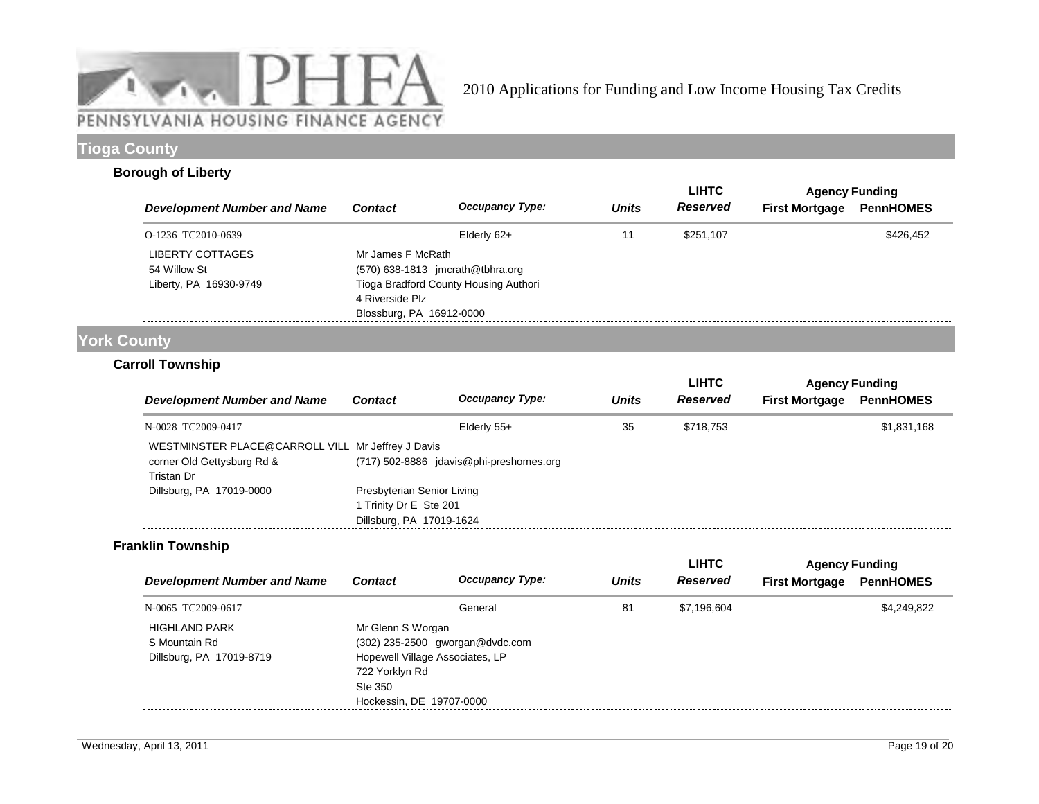

# **Tioga County**

### **Borough of Liberty**

|                                                            |                                                                  |                                                                             |              | <b>LIHTC</b> |                       | <b>Agency Funding</b> |
|------------------------------------------------------------|------------------------------------------------------------------|-----------------------------------------------------------------------------|--------------|--------------|-----------------------|-----------------------|
| <b>Development Number and Name</b>                         | <b>Contact</b>                                                   | <b>Occupancy Type:</b>                                                      | <b>Units</b> | Reserved     | <b>First Mortgage</b> | <b>PennHOMES</b>      |
| O-1236 TC2010-0639                                         |                                                                  | Elderly 62+                                                                 | 11           | \$251,107    |                       | \$426.452             |
| LIBERTY COTTAGES<br>54 Willow St<br>Liberty, PA 16930-9749 | Mr James F McRath<br>4 Riverside Plz<br>Blossburg, PA 16912-0000 | $(570)$ 638-1813 jmcrath@tbhra.org<br>Tioga Bradford County Housing Authori |              |              |                       |                       |

# **York County**

## **Carroll Township**

|                                                                                               |                                                      |                                         |              | <b>LIHTC</b>    | <b>Agency Funding</b> |                  |  |
|-----------------------------------------------------------------------------------------------|------------------------------------------------------|-----------------------------------------|--------------|-----------------|-----------------------|------------------|--|
| <b>Development Number and Name</b>                                                            | <b>Contact</b>                                       | <b>Occupancy Type:</b>                  | <b>Units</b> | <b>Reserved</b> | <b>First Mortgage</b> | <b>PennHOMES</b> |  |
| N-0028 TC2009-0417                                                                            |                                                      | Elderly 55+                             | 35           | \$718.753       |                       | \$1,831,168      |  |
| WESTMINSTER PLACE@CARROLL VILL Mr Jeffrey J Davis<br>corner Old Gettysburg Rd &<br>Tristan Dr |                                                      | (717) 502-8886 idavis@phi-preshomes.org |              |                 |                       |                  |  |
| Dillsburg, PA 17019-0000                                                                      | Presbyterian Senior Living<br>1 Trinity Dr E Ste 201 |                                         |              |                 |                       |                  |  |
|                                                                                               | Dillsburg, PA 17019-1624                             |                                         |              |                 |                       |                  |  |

#### **Franklin Township**

|                                    |                          |                                 |              | <b>LIHTC</b> | <b>Agency Funding</b> |                  |
|------------------------------------|--------------------------|---------------------------------|--------------|--------------|-----------------------|------------------|
| <b>Development Number and Name</b> | <b>Contact</b>           | <b>Occupancy Type:</b>          | <b>Units</b> | Reserved     | <b>First Mortgage</b> | <b>PennHOMES</b> |
| N-0065 TC2009-0617                 |                          | General                         | 81           | \$7,196,604  |                       | \$4,249,822      |
| <b>HIGHLAND PARK</b>               | Mr Glenn S Worgan        |                                 |              |              |                       |                  |
| S Mountain Rd                      |                          | (302) 235-2500 gworgan@dvdc.com |              |              |                       |                  |
| Dillsburg, PA 17019-8719           |                          | Hopewell Village Associates, LP |              |              |                       |                  |
|                                    | 722 Yorklyn Rd           |                                 |              |              |                       |                  |
|                                    | Ste 350                  |                                 |              |              |                       |                  |
|                                    | Hockessin, DE 19707-0000 |                                 |              |              |                       |                  |
|                                    |                          |                                 |              |              |                       |                  |